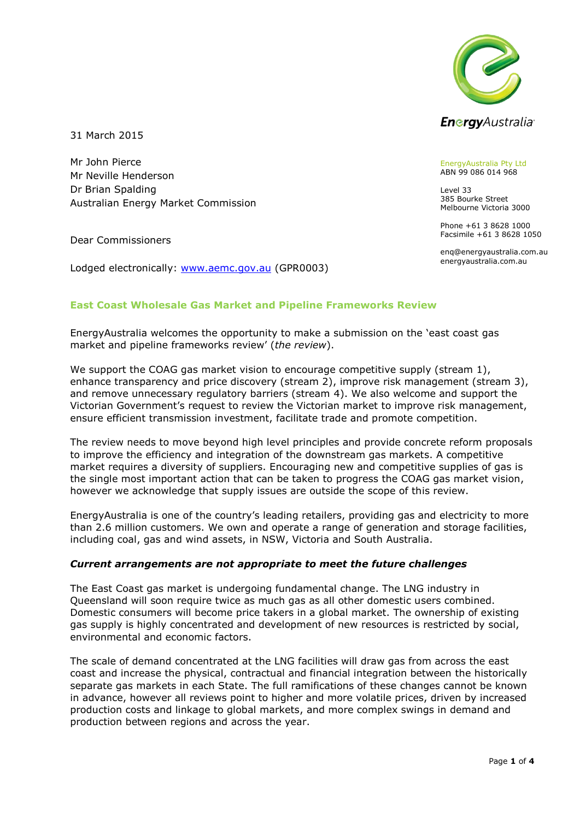

31 March 2015

Mr John Pierce Mr Neville Henderson Dr Brian Spalding Australian Energy Market Commission

Dear Commissioners

Lodged electronically: [www.aemc.gov.au](http://www.aemc.gov.au/) (GPR0003)

EnergyAustralia Pty Ltd ABN 99 086 014 968

Level 33 385 Bourke Street Melbourne Victoria 3000

Phone +61 3 8628 1000 Facsimile +61 3 8628 1050

enq@energyaustralia.com.au energyaustralia.com.au

# **East Coast Wholesale Gas Market and Pipeline Frameworks Review**

EnergyAustralia welcomes the opportunity to make a submission on the 'east coast gas market and pipeline frameworks review' (*the review*).

We support the COAG gas market vision to encourage competitive supply (stream 1), enhance transparency and price discovery (stream 2), improve risk management (stream 3), and remove unnecessary regulatory barriers (stream 4). We also welcome and support the Victorian Government's request to review the Victorian market to improve risk management, ensure efficient transmission investment, facilitate trade and promote competition.

The review needs to move beyond high level principles and provide concrete reform proposals to improve the efficiency and integration of the downstream gas markets. A competitive market requires a diversity of suppliers. Encouraging new and competitive supplies of gas is the single most important action that can be taken to progress the COAG gas market vision, however we acknowledge that supply issues are outside the scope of this review.

EnergyAustralia is one of the country's leading retailers, providing gas and electricity to more than 2.6 million customers. We own and operate a range of generation and storage facilities, including coal, gas and wind assets, in NSW, Victoria and South Australia.

#### *Current arrangements are not appropriate to meet the future challenges*

The East Coast gas market is undergoing fundamental change. The LNG industry in Queensland will soon require twice as much gas as all other domestic users combined. Domestic consumers will become price takers in a global market. The ownership of existing gas supply is highly concentrated and development of new resources is restricted by social, environmental and economic factors.

The scale of demand concentrated at the LNG facilities will draw gas from across the east coast and increase the physical, contractual and financial integration between the historically separate gas markets in each State. The full ramifications of these changes cannot be known in advance, however all reviews point to higher and more volatile prices, driven by increased production costs and linkage to global markets, and more complex swings in demand and production between regions and across the year.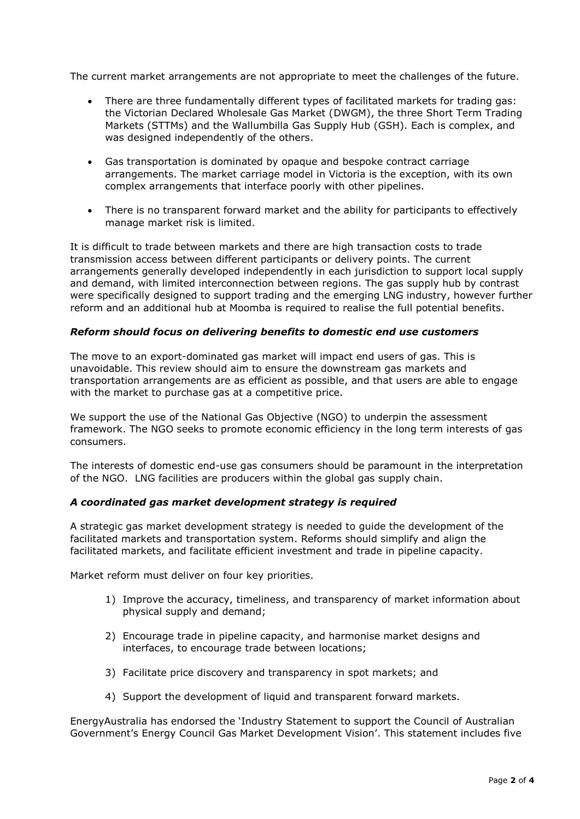The current market arrangements are not appropriate to meet the challenges of the future.

- There are three fundamentally different types of facilitated markets for trading gas: the Victorian Declared Wholesale Gas Market (DWGM), the three Short Term Trading Markets (STTMs) and the Wallumbilla Gas Supply Hub (GSH). Each is complex, and was designed independently of the others.
- Gas transportation is dominated by opaque and bespoke contract carriage arrangements. The market carriage model in Victoria is the exception, with its own complex arrangements that interface poorly with other pipelines.
- There is no transparent forward market and the ability for participants to effectively manage market risk is limited.

It is difficult to trade between markets and there are high transaction costs to trade transmission access between different participants or delivery points. The current arrangements generally developed independently in each jurisdiction to support local supply and demand, with limited interconnection between regions. The gas supply hub by contrast were specifically designed to support trading and the emerging LNG industry, however further reform and an additional hub at Moomba is required to realise the full potential benefits.

## *Reform should focus on delivering benefits to domestic end use customers*

The move to an export-dominated gas market will impact end users of gas. This is unavoidable. This review should aim to ensure the downstream gas markets and transportation arrangements are as efficient as possible, and that users are able to engage with the market to purchase gas at a competitive price.

We support the use of the National Gas Objective (NGO) to underpin the assessment framework. The NGO seeks to promote economic efficiency in the long term interests of gas consumers.

The interests of domestic end-use gas consumers should be paramount in the interpretation of the NGO. LNG facilities are producers within the global gas supply chain.

#### *A coordinated gas market development strategy is required*

A strategic gas market development strategy is needed to guide the development of the facilitated markets and transportation system. Reforms should simplify and align the facilitated markets, and facilitate efficient investment and trade in pipeline capacity.

Market reform must deliver on four key priorities.

- 1) Improve the accuracy, timeliness, and transparency of market information about physical supply and demand;
- 2) Encourage trade in pipeline capacity, and harmonise market designs and interfaces, to encourage trade between locations;
- 3) Facilitate price discovery and transparency in spot markets; and
- 4) Support the development of liquid and transparent forward markets.

EnergyAustralia has endorsed the 'Industry Statement to support the Council of Australian Government's Energy Council Gas Market Development Vision'. This statement includes five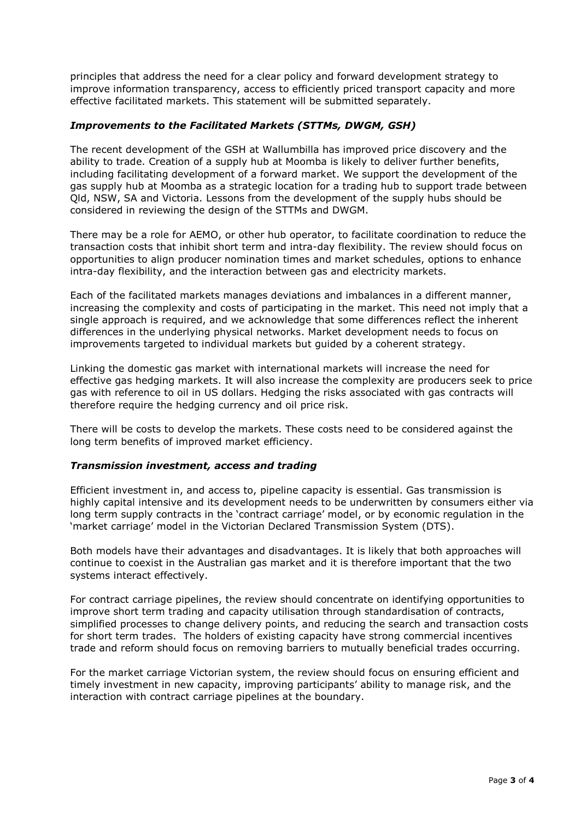principles that address the need for a clear policy and forward development strategy to improve information transparency, access to efficiently priced transport capacity and more effective facilitated markets. This statement will be submitted separately.

## *Improvements to the Facilitated Markets (STTMs, DWGM, GSH)*

The recent development of the GSH at Wallumbilla has improved price discovery and the ability to trade. Creation of a supply hub at Moomba is likely to deliver further benefits, including facilitating development of a forward market. We support the development of the gas supply hub at Moomba as a strategic location for a trading hub to support trade between Qld, NSW, SA and Victoria. Lessons from the development of the supply hubs should be considered in reviewing the design of the STTMs and DWGM.

There may be a role for AEMO, or other hub operator, to facilitate coordination to reduce the transaction costs that inhibit short term and intra-day flexibility. The review should focus on opportunities to align producer nomination times and market schedules, options to enhance intra-day flexibility, and the interaction between gas and electricity markets.

Each of the facilitated markets manages deviations and imbalances in a different manner, increasing the complexity and costs of participating in the market. This need not imply that a single approach is required, and we acknowledge that some differences reflect the inherent differences in the underlying physical networks. Market development needs to focus on improvements targeted to individual markets but guided by a coherent strategy.

Linking the domestic gas market with international markets will increase the need for effective gas hedging markets. It will also increase the complexity are producers seek to price gas with reference to oil in US dollars. Hedging the risks associated with gas contracts will therefore require the hedging currency and oil price risk.

There will be costs to develop the markets. These costs need to be considered against the long term benefits of improved market efficiency.

#### *Transmission investment, access and trading*

Efficient investment in, and access to, pipeline capacity is essential. Gas transmission is highly capital intensive and its development needs to be underwritten by consumers either via long term supply contracts in the 'contract carriage' model, or by economic regulation in the 'market carriage' model in the Victorian Declared Transmission System (DTS).

Both models have their advantages and disadvantages. It is likely that both approaches will continue to coexist in the Australian gas market and it is therefore important that the two systems interact effectively.

For contract carriage pipelines, the review should concentrate on identifying opportunities to improve short term trading and capacity utilisation through standardisation of contracts, simplified processes to change delivery points, and reducing the search and transaction costs for short term trades. The holders of existing capacity have strong commercial incentives trade and reform should focus on removing barriers to mutually beneficial trades occurring.

For the market carriage Victorian system, the review should focus on ensuring efficient and timely investment in new capacity, improving participants' ability to manage risk, and the interaction with contract carriage pipelines at the boundary.